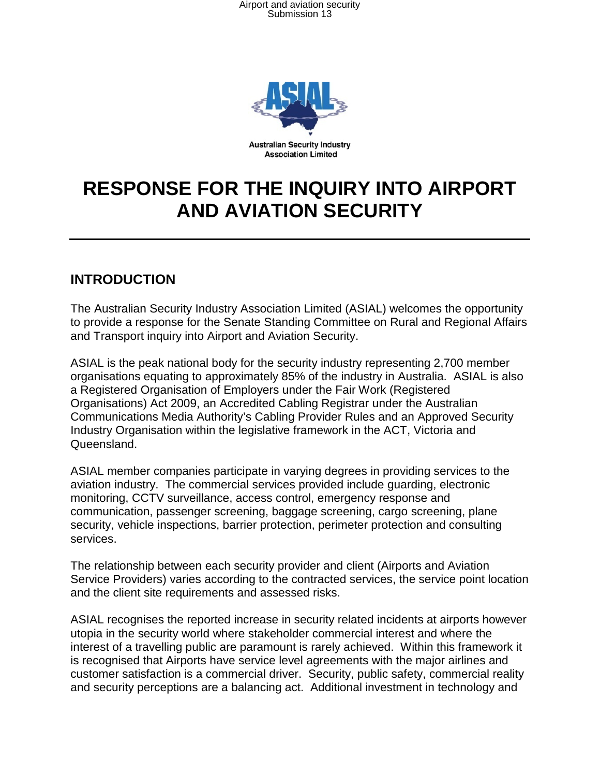Airport and aviation security Submission 13



# **RESPONSE FOR THE INQUIRY INTO AIRPORT AND AVIATION SECURITY**

# **INTRODUCTION**

The Australian Security Industry Association Limited (ASIAL) welcomes the opportunity to provide a response for the Senate Standing Committee on Rural and Regional Affairs and Transport inquiry into Airport and Aviation Security.

ASIAL is the peak national body for the security industry representing 2,700 member organisations equating to approximately 85% of the industry in Australia. ASIAL is also a Registered Organisation of Employers under the Fair Work (Registered Organisations) Act 2009, an Accredited Cabling Registrar under the Australian Communications Media Authority's Cabling Provider Rules and an Approved Security Industry Organisation within the legislative framework in the ACT, Victoria and Queensland.

ASIAL member companies participate in varying degrees in providing services to the aviation industry. The commercial services provided include guarding, electronic monitoring, CCTV surveillance, access control, emergency response and communication, passenger screening, baggage screening, cargo screening, plane security, vehicle inspections, barrier protection, perimeter protection and consulting services.

The relationship between each security provider and client (Airports and Aviation Service Providers) varies according to the contracted services, the service point location and the client site requirements and assessed risks.

ASIAL recognises the reported increase in security related incidents at airports however utopia in the security world where stakeholder commercial interest and where the interest of a travelling public are paramount is rarely achieved. Within this framework it is recognised that Airports have service level agreements with the major airlines and customer satisfaction is a commercial driver. Security, public safety, commercial reality and security perceptions are a balancing act. Additional investment in technology and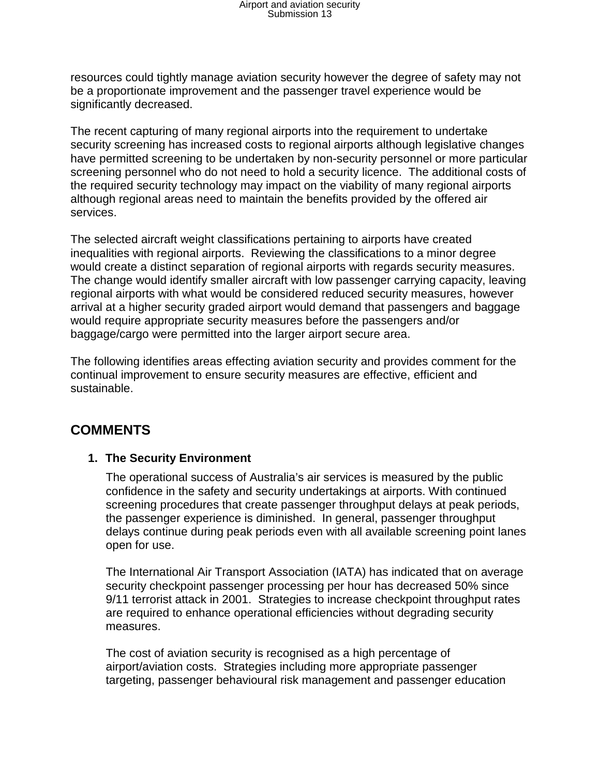# Airport and aviation security Submission 13

resources could tightly manage aviation security however the degree of safety may not be a proportionate improvement and the passenger travel experience would be significantly decreased.

The recent capturing of many regional airports into the requirement to undertake security screening has increased costs to regional airports although legislative changes have permitted screening to be undertaken by non-security personnel or more particular screening personnel who do not need to hold a security licence. The additional costs of the required security technology may impact on the viability of many regional airports although regional areas need to maintain the benefits provided by the offered air services.

The selected aircraft weight classifications pertaining to airports have created inequalities with regional airports. Reviewing the classifications to a minor degree would create a distinct separation of regional airports with regards security measures. The change would identify smaller aircraft with low passenger carrying capacity, leaving regional airports with what would be considered reduced security measures, however arrival at a higher security graded airport would demand that passengers and baggage would require appropriate security measures before the passengers and/or baggage/cargo were permitted into the larger airport secure area.

The following identifies areas effecting aviation security and provides comment for the continual improvement to ensure security measures are effective, efficient and sustainable.

# **COMMENTS**

### **1. The Security Environment**

The operational success of Australia's air services is measured by the public confidence in the safety and security undertakings at airports. With continued screening procedures that create passenger throughput delays at peak periods, the passenger experience is diminished. In general, passenger throughput delays continue during peak periods even with all available screening point lanes open for use.

The International Air Transport Association (IATA) has indicated that on average security checkpoint passenger processing per hour has decreased 50% since 9/11 terrorist attack in 2001. Strategies to increase checkpoint throughput rates are required to enhance operational efficiencies without degrading security measures.

The cost of aviation security is recognised as a high percentage of airport/aviation costs. Strategies including more appropriate passenger targeting, passenger behavioural risk management and passenger education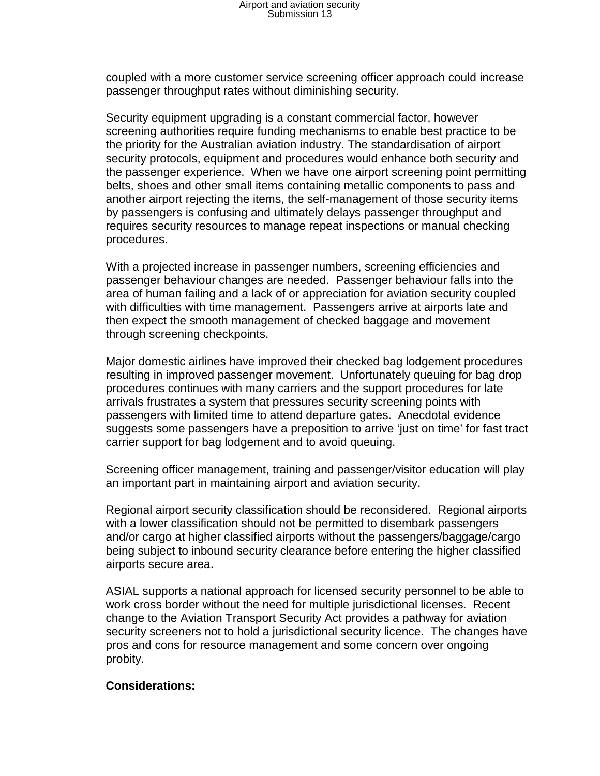coupled with a more customer service screening officer approach could increase passenger throughput rates without diminishing security.

Security equipment upgrading is a constant commercial factor, however screening authorities require funding mechanisms to enable best practice to be the priority for the Australian aviation industry. The standardisation of airport security protocols, equipment and procedures would enhance both security and the passenger experience. When we have one airport screening point permitting belts, shoes and other small items containing metallic components to pass and another airport rejecting the items, the self-management of those security items by passengers is confusing and ultimately delays passenger throughput and requires security resources to manage repeat inspections or manual checking procedures.

With a projected increase in passenger numbers, screening efficiencies and passenger behaviour changes are needed. Passenger behaviour falls into the area of human failing and a lack of or appreciation for aviation security coupled with difficulties with time management. Passengers arrive at airports late and then expect the smooth management of checked baggage and movement through screening checkpoints.

Major domestic airlines have improved their checked bag lodgement procedures resulting in improved passenger movement. Unfortunately queuing for bag drop procedures continues with many carriers and the support procedures for late arrivals frustrates a system that pressures security screening points with passengers with limited time to attend departure gates. Anecdotal evidence suggests some passengers have a preposition to arrive 'just on time' for fast tract carrier support for bag lodgement and to avoid queuing.

Screening officer management, training and passenger/visitor education will play an important part in maintaining airport and aviation security.

Regional airport security classification should be reconsidered. Regional airports with a lower classification should not be permitted to disembark passengers and/or cargo at higher classified airports without the passengers/baggage/cargo being subject to inbound security clearance before entering the higher classified airports secure area.

ASIAL supports a national approach for licensed security personnel to be able to work cross border without the need for multiple jurisdictional licenses. Recent change to the Aviation Transport Security Act provides a pathway for aviation security screeners not to hold a jurisdictional security licence. The changes have pros and cons for resource management and some concern over ongoing probity.

### **Considerations:**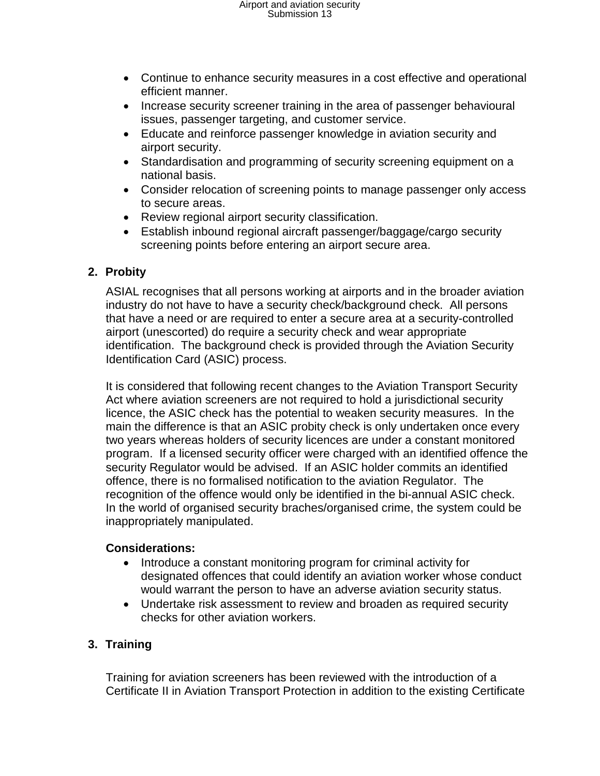# Airport and aviation security Submission 13

- Continue to enhance security measures in a cost effective and operational efficient manner.
- Increase security screener training in the area of passenger behavioural issues, passenger targeting, and customer service.
- Educate and reinforce passenger knowledge in aviation security and airport security.
- Standardisation and programming of security screening equipment on a national basis.
- Consider relocation of screening points to manage passenger only access to secure areas.
- Review regional airport security classification.
- Establish inbound regional aircraft passenger/baggage/cargo security screening points before entering an airport secure area.

# **2. Probity**

ASIAL recognises that all persons working at airports and in the broader aviation industry do not have to have a security check/background check. All persons that have a need or are required to enter a secure area at a security-controlled airport (unescorted) do require a security check and wear appropriate identification. The background check is provided through the Aviation Security Identification Card (ASIC) process.

It is considered that following recent changes to the Aviation Transport Security Act where aviation screeners are not required to hold a jurisdictional security licence, the ASIC check has the potential to weaken security measures. In the main the difference is that an ASIC probity check is only undertaken once every two years whereas holders of security licences are under a constant monitored program. If a licensed security officer were charged with an identified offence the security Regulator would be advised. If an ASIC holder commits an identified offence, there is no formalised notification to the aviation Regulator. The recognition of the offence would only be identified in the bi-annual ASIC check. In the world of organised security braches/organised crime, the system could be inappropriately manipulated.

### **Considerations:**

- Introduce a constant monitoring program for criminal activity for designated offences that could identify an aviation worker whose conduct would warrant the person to have an adverse aviation security status.
- Undertake risk assessment to review and broaden as required security checks for other aviation workers.

# **3. Training**

Training for aviation screeners has been reviewed with the introduction of a Certificate II in Aviation Transport Protection in addition to the existing Certificate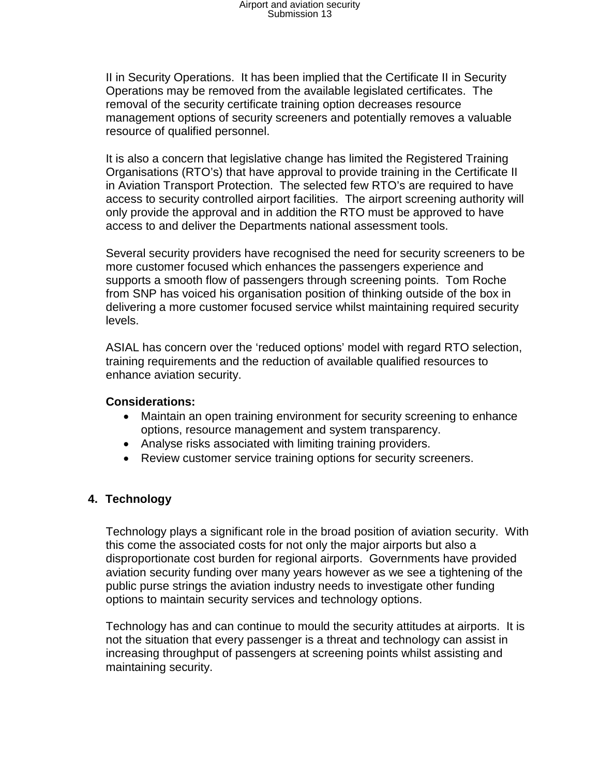II in Security Operations. It has been implied that the Certificate II in Security Operations may be removed from the available legislated certificates. The removal of the security certificate training option decreases resource management options of security screeners and potentially removes a valuable resource of qualified personnel.

It is also a concern that legislative change has limited the Registered Training Organisations (RTO's) that have approval to provide training in the Certificate II in Aviation Transport Protection. The selected few RTO's are required to have access to security controlled airport facilities. The airport screening authority will only provide the approval and in addition the RTO must be approved to have access to and deliver the Departments national assessment tools.

Several security providers have recognised the need for security screeners to be more customer focused which enhances the passengers experience and supports a smooth flow of passengers through screening points. Tom Roche from SNP has voiced his organisation position of thinking outside of the box in delivering a more customer focused service whilst maintaining required security levels.

ASIAL has concern over the 'reduced options' model with regard RTO selection, training requirements and the reduction of available qualified resources to enhance aviation security.

#### **Considerations:**

- Maintain an open training environment for security screening to enhance options, resource management and system transparency.
- Analyse risks associated with limiting training providers.
- Review customer service training options for security screeners.

### **4. Technology**

Technology plays a significant role in the broad position of aviation security. With this come the associated costs for not only the major airports but also a disproportionate cost burden for regional airports. Governments have provided aviation security funding over many years however as we see a tightening of the public purse strings the aviation industry needs to investigate other funding options to maintain security services and technology options.

Technology has and can continue to mould the security attitudes at airports. It is not the situation that every passenger is a threat and technology can assist in increasing throughput of passengers at screening points whilst assisting and maintaining security.